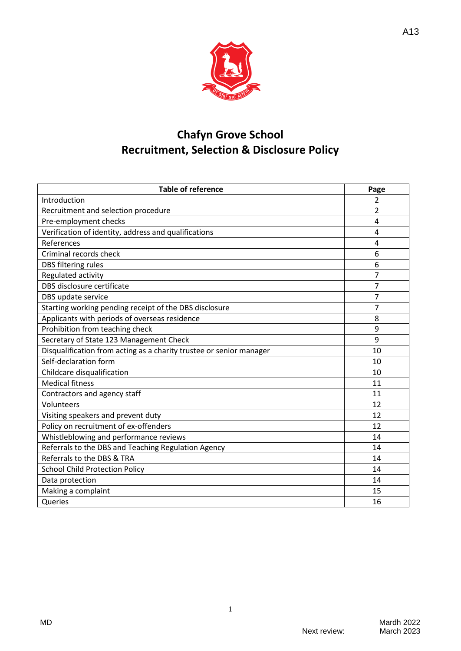

# **Chafyn Grove School Recruitment, Selection & Disclosure Policy**

| <b>Table of reference</b>                                           | Page           |
|---------------------------------------------------------------------|----------------|
| Introduction                                                        | 2              |
| Recruitment and selection procedure                                 | 2              |
| Pre-employment checks                                               | $\overline{4}$ |
| Verification of identity, address and qualifications                | 4              |
| References                                                          | $\overline{4}$ |
| Criminal records check                                              | 6              |
| DBS filtering rules                                                 | 6              |
| Regulated activity                                                  | 7              |
| DBS disclosure certificate                                          | 7              |
| DBS update service                                                  | $\overline{7}$ |
| Starting working pending receipt of the DBS disclosure              | $\overline{7}$ |
| Applicants with periods of overseas residence                       | 8              |
| Prohibition from teaching check                                     | 9              |
| Secretary of State 123 Management Check                             | 9              |
| Disqualification from acting as a charity trustee or senior manager | 10             |
| Self-declaration form                                               | 10             |
| Childcare disqualification                                          | 10             |
| <b>Medical fitness</b>                                              | 11             |
| Contractors and agency staff                                        | 11             |
| Volunteers                                                          | 12             |
| Visiting speakers and prevent duty                                  | 12             |
| Policy on recruitment of ex-offenders                               | 12             |
| Whistleblowing and performance reviews                              | 14             |
| Referrals to the DBS and Teaching Regulation Agency                 | 14             |
| Referrals to the DBS & TRA                                          | 14             |
| <b>School Child Protection Policy</b>                               | 14             |
| Data protection                                                     | 14             |
| Making a complaint                                                  | 15             |
| Queries                                                             | 16             |

1

A13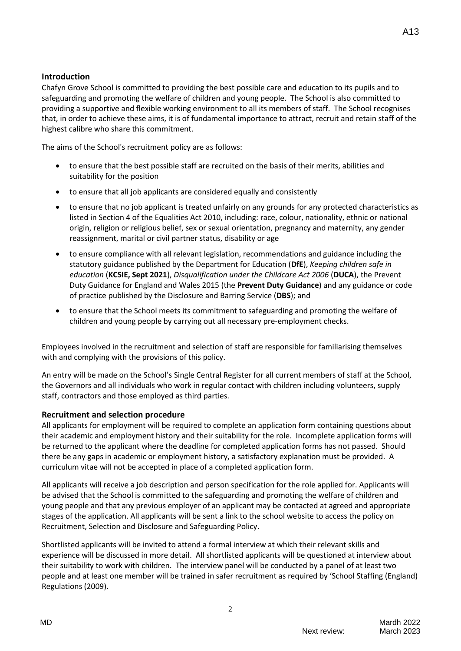### **Introduction**

Chafyn Grove School is committed to providing the best possible care and education to its pupils and to safeguarding and promoting the welfare of children and young people. The School is also committed to providing a supportive and flexible working environment to all its members of staff. The School recognises that, in order to achieve these aims, it is of fundamental importance to attract, recruit and retain staff of the highest calibre who share this commitment.

The aims of the School's recruitment policy are as follows:

- to ensure that the best possible staff are recruited on the basis of their merits, abilities and suitability for the position
- to ensure that all job applicants are considered equally and consistently
- to ensure that no job applicant is treated unfairly on any grounds for any protected characteristics as listed in Section 4 of the Equalities Act 2010, including: race, colour, nationality, ethnic or national origin, religion or religious belief, sex or sexual orientation, pregnancy and maternity, any gender reassignment, marital or civil partner status, disability or age
- to ensure compliance with all relevant legislation, recommendations and guidance including the statutory guidance published by the Department for Education (**DfE**), *Keeping children safe in education* (**KCSIE, Sept 2021**), *Disqualification under the Childcare Act 2006* (**DUCA**), the Prevent Duty Guidance for England and Wales 2015 (the **Prevent Duty Guidance**) and any guidance or code of practice published by the Disclosure and Barring Service (**DBS**); and
- to ensure that the School meets its commitment to safeguarding and promoting the welfare of children and young people by carrying out all necessary pre-employment checks.

Employees involved in the recruitment and selection of staff are responsible for familiarising themselves with and complying with the provisions of this policy.

An entry will be made on the School's Single Central Register for all current members of staff at the School, the Governors and all individuals who work in regular contact with children including volunteers, supply staff, contractors and those employed as third parties.

#### **Recruitment and selection procedure**

All applicants for employment will be required to complete an application form containing questions about their academic and employment history and their suitability for the role. Incomplete application forms will be returned to the applicant where the deadline for completed application forms has not passed. Should there be any gaps in academic or employment history, a satisfactory explanation must be provided. A curriculum vitae will not be accepted in place of a completed application form.

All applicants will receive a job description and person specification for the role applied for. Applicants will be advised that the School is committed to the safeguarding and promoting the welfare of children and young people and that any previous employer of an applicant may be contacted at agreed and appropriate stages of the application. All applicants will be sent a link to the school website to access the policy on Recruitment, Selection and Disclosure and Safeguarding Policy.

Shortlisted applicants will be invited to attend a formal interview at which their relevant skills and experience will be discussed in more detail. All shortlisted applicants will be questioned at interview about their suitability to work with children. The interview panel will be conducted by a panel of at least two people and at least one member will be trained in safer recruitment as required by 'School Staffing (England) Regulations (2009).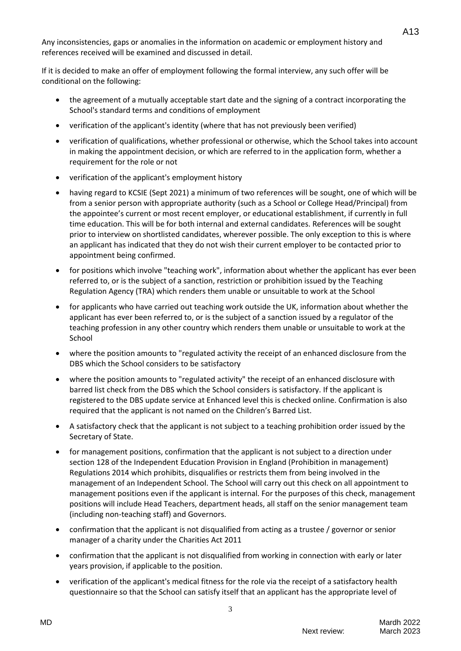Any inconsistencies, gaps or anomalies in the information on academic or employment history and references received will be examined and discussed in detail.

If it is decided to make an offer of employment following the formal interview, any such offer will be conditional on the following:

- the agreement of a mutually acceptable start date and the signing of a contract incorporating the School's standard terms and conditions of employment
- verification of the applicant's identity (where that has not previously been verified)
- verification of qualifications, whether professional or otherwise, which the School takes into account in making the appointment decision, or which are referred to in the application form, whether a requirement for the role or not
- verification of the applicant's employment history
- having regard to KCSIE (Sept 2021) a minimum of two references will be sought, one of which will be from a senior person with appropriate authority (such as a School or College Head/Principal) from the appointee's current or most recent employer, or educational establishment, if currently in full time education. This will be for both internal and external candidates. References will be sought prior to interview on shortlisted candidates, wherever possible. The only exception to this is where an applicant has indicated that they do not wish their current employer to be contacted prior to appointment being confirmed.
- for positions which involve "teaching work", information about whether the applicant has ever been referred to, or is the subject of a sanction, restriction or prohibition issued by the Teaching Regulation Agency (TRA) which renders them unable or unsuitable to work at the School
- for applicants who have carried out teaching work outside the UK, information about whether the applicant has ever been referred to, or is the subject of a sanction issued by a regulator of the teaching profession in any other country which renders them unable or unsuitable to work at the School
- where the position amounts to "regulated activity the receipt of an enhanced disclosure from the DBS which the School considers to be satisfactory
- where the position amounts to "regulated activity" the receipt of an enhanced disclosure with barred list check from the DBS which the School considers is satisfactory. If the applicant is registered to the DBS update service at Enhanced level this is checked online. Confirmation is also required that the applicant is not named on the Children's Barred List.
- A satisfactory check that the applicant is not subject to a teaching prohibition order issued by the Secretary of State.
- for management positions, confirmation that the applicant is not subject to a direction under section 128 of the Independent Education Provision in England (Prohibition in management) Regulations 2014 which prohibits, disqualifies or restricts them from being involved in the management of an Independent School. The School will carry out this check on all appointment to management positions even if the applicant is internal. For the purposes of this check, management positions will include Head Teachers, department heads, all staff on the senior management team (including non-teaching staff) and Governors.
- confirmation that the applicant is not disqualified from acting as a trustee / governor or senior manager of a charity under the Charities Act 2011
- confirmation that the applicant is not disqualified from working in connection with early or later years provision, if applicable to the position.
- verification of the applicant's medical fitness for the role via the receipt of a satisfactory health questionnaire so that the School can satisfy itself that an applicant has the appropriate level of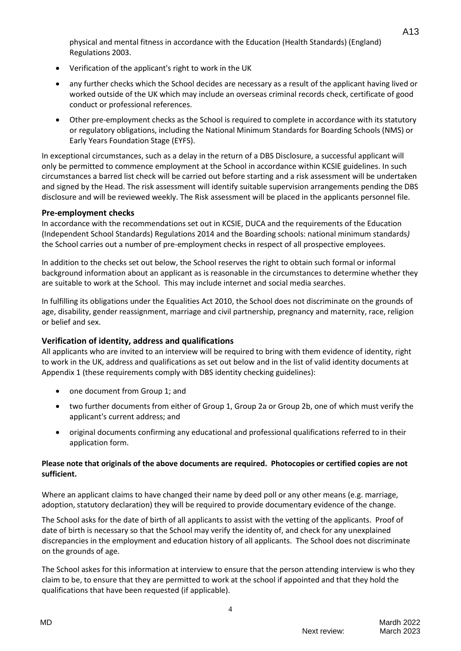physical and mental fitness in accordance with the Education (Health Standards) (England) Regulations 2003.

- Verification of the applicant's right to work in the UK
- any further checks which the School decides are necessary as a result of the applicant having lived or worked outside of the UK which may include an overseas criminal records check, certificate of good conduct or professional references.
- Other pre-employment checks as the School is required to complete in accordance with its statutory or regulatory obligations, including the National Minimum Standards for Boarding Schools (NMS) or Early Years Foundation Stage (EYFS).

In exceptional circumstances, such as a delay in the return of a DBS Disclosure, a successful applicant will only be permitted to commence employment at the School in accordance within KCSIE guidelines. In such circumstances a barred list check will be carried out before starting and a risk assessment will be undertaken and signed by the Head. The risk assessment will identify suitable supervision arrangements pending the DBS disclosure and will be reviewed weekly. The Risk assessment will be placed in the applicants personnel file.

#### **Pre-employment checks**

In accordance with the recommendations set out in KCSIE, DUCA and the requirements of the Education (Independent School Standards) Regulations 2014 and the Boarding schools: national minimum standards*)* the School carries out a number of pre-employment checks in respect of all prospective employees.

In addition to the checks set out below, the School reserves the right to obtain such formal or informal background information about an applicant as is reasonable in the circumstances to determine whether they are suitable to work at the School. This may include internet and social media searches.

In fulfilling its obligations under the Equalities Act 2010, the School does not discriminate on the grounds of age, disability, gender reassignment, marriage and civil partnership, pregnancy and maternity, race, religion or belief and sex.

#### **Verification of identity, address and qualifications**

All applicants who are invited to an interview will be required to bring with them evidence of identity, right to work in the UK, address and qualifications as set out below and in the list of valid identity documents at Appendix 1 (these requirements comply with DBS identity checking guidelines):

- one document from Group 1; and
- two further documents from either of Group 1, Group 2a or Group 2b, one of which must verify the applicant's current address; and
- original documents confirming any educational and professional qualifications referred to in their application form.

#### **Please note that originals of the above documents are required. Photocopies or certified copies are not sufficient.**

Where an applicant claims to have changed their name by deed poll or any other means (e.g. marriage, adoption, statutory declaration) they will be required to provide documentary evidence of the change.

The School asks for the date of birth of all applicants to assist with the vetting of the applicants. Proof of date of birth is necessary so that the School may verify the identity of, and check for any unexplained discrepancies in the employment and education history of all applicants. The School does not discriminate on the grounds of age.

The School askes for this information at interview to ensure that the person attending interview is who they claim to be, to ensure that they are permitted to work at the school if appointed and that they hold the qualifications that have been requested (if applicable).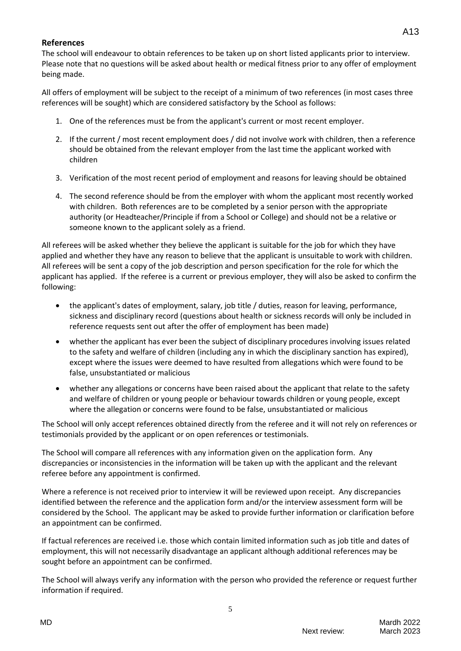### A13

#### **References**

The school will endeavour to obtain references to be taken up on short listed applicants prior to interview. Please note that no questions will be asked about health or medical fitness prior to any offer of employment being made.

All offers of employment will be subject to the receipt of a minimum of two references (in most cases three references will be sought) which are considered satisfactory by the School as follows:

- 1. One of the references must be from the applicant's current or most recent employer.
- 2. If the current / most recent employment does / did not involve work with children, then a reference should be obtained from the relevant employer from the last time the applicant worked with children
- 3. Verification of the most recent period of employment and reasons for leaving should be obtained
- 4. The second reference should be from the employer with whom the applicant most recently worked with children. Both references are to be completed by a senior person with the appropriate authority (or Headteacher/Principle if from a School or College) and should not be a relative or someone known to the applicant solely as a friend.

All referees will be asked whether they believe the applicant is suitable for the job for which they have applied and whether they have any reason to believe that the applicant is unsuitable to work with children. All referees will be sent a copy of the job description and person specification for the role for which the applicant has applied. If the referee is a current or previous employer, they will also be asked to confirm the following:

- the applicant's dates of employment, salary, job title / duties, reason for leaving, performance, sickness and disciplinary record (questions about health or sickness records will only be included in reference requests sent out after the offer of employment has been made)
- whether the applicant has ever been the subject of disciplinary procedures involving issues related to the safety and welfare of children (including any in which the disciplinary sanction has expired), except where the issues were deemed to have resulted from allegations which were found to be false, unsubstantiated or malicious
- whether any allegations or concerns have been raised about the applicant that relate to the safety and welfare of children or young people or behaviour towards children or young people, except where the allegation or concerns were found to be false, unsubstantiated or malicious

The School will only accept references obtained directly from the referee and it will not rely on references or testimonials provided by the applicant or on open references or testimonials.

The School will compare all references with any information given on the application form. Any discrepancies or inconsistencies in the information will be taken up with the applicant and the relevant referee before any appointment is confirmed.

Where a reference is not received prior to interview it will be reviewed upon receipt. Any discrepancies identified between the reference and the application form and/or the interview assessment form will be considered by the School. The applicant may be asked to provide further information or clarification before an appointment can be confirmed.

If factual references are received i.e. those which contain limited information such as job title and dates of employment, this will not necessarily disadvantage an applicant although additional references may be sought before an appointment can be confirmed.

The School will always verify any information with the person who provided the reference or request further information if required.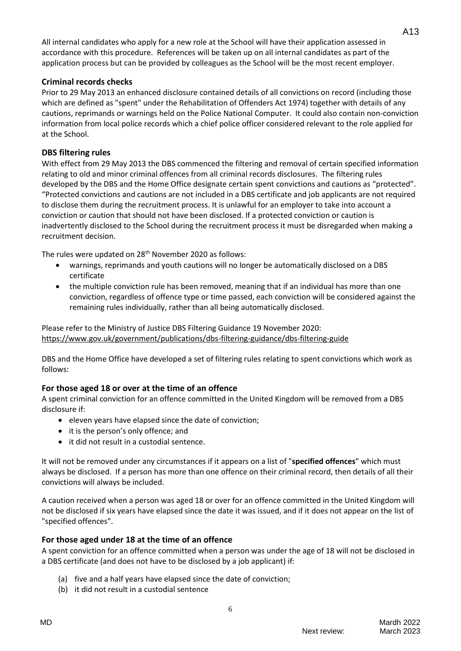All internal candidates who apply for a new role at the School will have their application assessed in accordance with this procedure. References will be taken up on all internal candidates as part of the application process but can be provided by colleagues as the School will be the most recent employer.

### **Criminal records checks**

Prior to 29 May 2013 an enhanced disclosure contained details of all convictions on record (including those which are defined as "spent" under the Rehabilitation of Offenders Act 1974) together with details of any cautions, reprimands or warnings held on the Police National Computer. It could also contain non-conviction information from local police records which a chief police officer considered relevant to the role applied for at the School.

### **DBS filtering rules**

With effect from 29 May 2013 the DBS commenced the filtering and removal of certain specified information relating to old and minor criminal offences from all criminal records disclosures. The filtering rules developed by the DBS and the Home Office designate certain spent convictions and cautions as "protected". "Protected convictions and cautions are not included in a DBS certificate and job applicants are not required to disclose them during the recruitment process. It is unlawful for an employer to take into account a conviction or caution that should not have been disclosed. If a protected conviction or caution is inadvertently disclosed to the School during the recruitment process it must be disregarded when making a recruitment decision.

The rules were updated on 28<sup>th</sup> November 2020 as follows:

- warnings, reprimands and youth cautions will no longer be automatically disclosed on a DBS certificate
- the multiple conviction rule has been removed, meaning that if an individual has more than one conviction, regardless of offence type or time passed, each conviction will be considered against the remaining rules individually, rather than all being automatically disclosed.

Please refer to the Ministry of Justice DBS Filtering Guidance 19 November 2020: <https://www.gov.uk/government/publications/dbs-filtering-guidance/dbs-filtering-guide>

DBS and the Home Office have developed a set of filtering rules relating to spent convictions which work as follows:

### **For those aged 18 or over at the time of an offence**

A spent criminal conviction for an offence committed in the United Kingdom will be removed from a DBS disclosure if:

- eleven years have elapsed since the date of conviction;
- it is the person's only offence; and
- it did not result in a custodial sentence.

It will not be removed under any circumstances if it appears on a list of "**specified offences**" which must always be disclosed. If a person has more than one offence on their criminal record, then details of all their convictions will always be included.

A caution received when a person was aged 18 or over for an offence committed in the United Kingdom will not be disclosed if six years have elapsed since the date it was issued, and if it does not appear on the list of "specified offences".

#### **For those aged under 18 at the time of an offence**

A spent conviction for an offence committed when a person was under the age of 18 will not be disclosed in a DBS certificate (and does not have to be disclosed by a job applicant) if:

- (a) five and a half years have elapsed since the date of conviction;
- (b) it did not result in a custodial sentence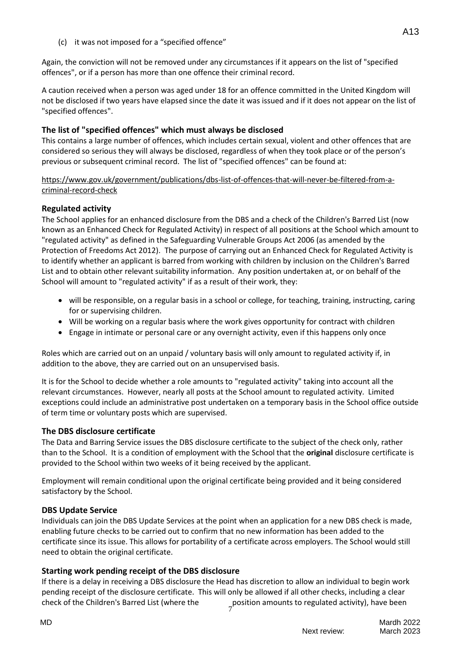(c) it was not imposed for a "specified offence"

Again, the conviction will not be removed under any circumstances if it appears on the list of "specified offences", or if a person has more than one offence their criminal record.

A caution received when a person was aged under 18 for an offence committed in the United Kingdom will not be disclosed if two years have elapsed since the date it was issued and if it does not appear on the list of "specified offences".

### **The list of "specified offences" which must always be disclosed**

This contains a large number of offences, which includes certain sexual, violent and other offences that are considered so serious they will always be disclosed, regardless of when they took place or of the person's previous or subsequent criminal record. The list of "specified offences" can be found at:

[https://www.gov.uk/government/publications/dbs-list-of-offences-that-will-never-be-filtered-from-a](https://www.gov.uk/government/publications/dbs-list-of-offences-that-will-never-be-filtered-from-a-criminal-record-check)[criminal-record-check](https://www.gov.uk/government/publications/dbs-list-of-offences-that-will-never-be-filtered-from-a-criminal-record-check)

### **Regulated activity**

The School applies for an enhanced disclosure from the DBS and a check of the Children's Barred List (now known as an Enhanced Check for Regulated Activity) in respect of all positions at the School which amount to "regulated activity" as defined in the Safeguarding Vulnerable Groups Act 2006 (as amended by the Protection of Freedoms Act 2012). The purpose of carrying out an Enhanced Check for Regulated Activity is to identify whether an applicant is barred from working with children by inclusion on the Children's Barred List and to obtain other relevant suitability information. Any position undertaken at, or on behalf of the School will amount to "regulated activity" if as a result of their work, they:

- will be responsible, on a regular basis in a school or college, for teaching, training, instructing, caring for or supervising children.
- Will be working on a regular basis where the work gives opportunity for contract with children
- Engage in intimate or personal care or any overnight activity, even if this happens only once

Roles which are carried out on an unpaid / voluntary basis will only amount to regulated activity if, in addition to the above, they are carried out on an unsupervised basis.

It is for the School to decide whether a role amounts to "regulated activity" taking into account all the relevant circumstances. However, nearly all posts at the School amount to regulated activity. Limited exceptions could include an administrative post undertaken on a temporary basis in the School office outside of term time or voluntary posts which are supervised.

### **The DBS disclosure certificate**

The Data and Barring Service issues the DBS disclosure certificate to the subject of the check only, rather than to the School. It is a condition of employment with the School that the **original** disclosure certificate is provided to the School within two weeks of it being received by the applicant.

Employment will remain conditional upon the original certificate being provided and it being considered satisfactory by the School.

#### **DBS Update Service**

Individuals can join the DBS Update Services at the point when an application for a new DBS check is made, enabling future checks to be carried out to confirm that no new information has been added to the certificate since its issue. This allows for portability of a certificate across employers. The School would still need to obtain the original certificate.

#### **Starting work pending receipt of the DBS disclosure**

check of the Children's Barred List (where the position amounts to regulated activity), have been check If there is a delay in receiving a DBS disclosure the Head has discretion to allow an individual to begin work pending receipt of the disclosure certificate. This will only be allowed if all other checks, including a clear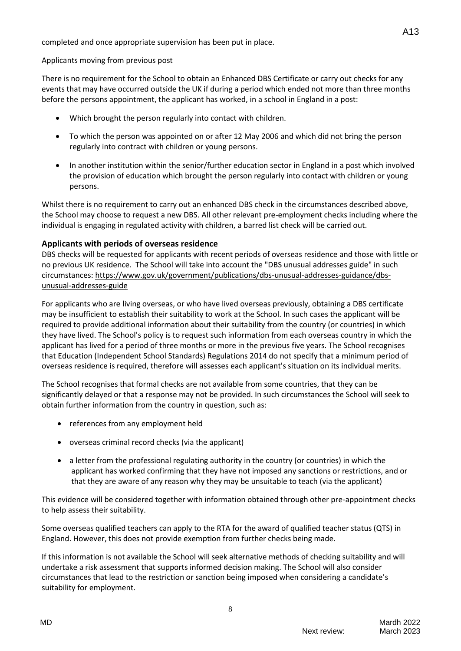completed and once appropriate supervision has been put in place.

#### Applicants moving from previous post

There is no requirement for the School to obtain an Enhanced DBS Certificate or carry out checks for any events that may have occurred outside the UK if during a period which ended not more than three months before the persons appointment, the applicant has worked, in a school in England in a post:

- Which brought the person regularly into contact with children.
- To which the person was appointed on or after 12 May 2006 and which did not bring the person regularly into contract with children or young persons.
- In another institution within the senior/further education sector in England in a post which involved the provision of education which brought the person regularly into contact with children or young persons.

Whilst there is no requirement to carry out an enhanced DBS check in the circumstances described above, the School may choose to request a new DBS. All other relevant pre-employment checks including where the individual is engaging in regulated activity with children, a barred list check will be carried out.

#### **Applicants with periods of overseas residence**

DBS checks will be requested for applicants with recent periods of overseas residence and those with little or no previous UK residence. The School will take into account the "DBS unusual addresses guide" in such circumstances: [https://www.gov.uk/government/publications/dbs-unusual-addresses-guidance/dbs](https://www.gov.uk/government/publications/dbs-unusual-addresses-guidance/dbs-unusual-addresses-guide)[unusual-addresses-guide](https://www.gov.uk/government/publications/dbs-unusual-addresses-guidance/dbs-unusual-addresses-guide)

For applicants who are living overseas, or who have lived overseas previously, obtaining a DBS certificate may be insufficient to establish their suitability to work at the School. In such cases the applicant will be required to provide additional information about their suitability from the country (or countries) in which they have lived. The School's policy is to request such information from each overseas country in which the applicant has lived for a period of three months or more in the previous five years. The School recognises that Education (Independent School Standards) Regulations 2014 do not specify that a minimum period of overseas residence is required, therefore will assesses each applicant's situation on its individual merits.

The School recognises that formal checks are not available from some countries, that they can be significantly delayed or that a response may not be provided. In such circumstances the School will seek to obtain further information from the country in question, such as:

- references from any employment held
- overseas criminal record checks (via the applicant)
- a letter from the professional regulating authority in the country (or countries) in which the applicant has worked confirming that they have not imposed any sanctions or restrictions, and or that they are aware of any reason why they may be unsuitable to teach (via the applicant)

This evidence will be considered together with information obtained through other pre-appointment checks to help assess their suitability.

Some overseas qualified teachers can apply to the RTA for the award of qualified teacher status (QTS) in England. However, this does not provide exemption from further checks being made.

If this information is not available the School will seek alternative methods of checking suitability and will undertake a risk assessment that supports informed decision making. The School will also consider circumstances that lead to the restriction or sanction being imposed when considering a candidate's suitability for employment.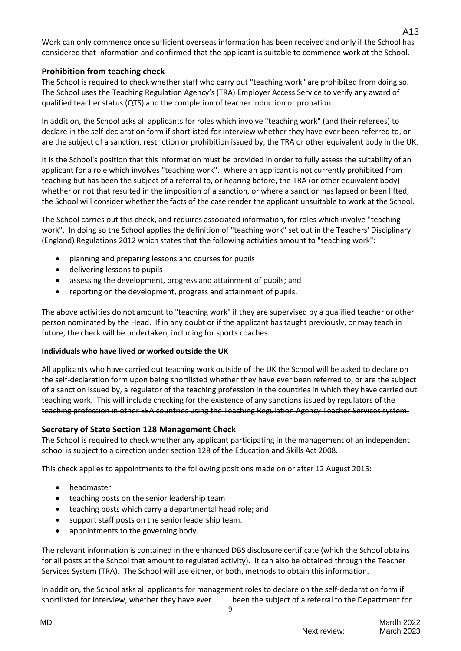Work can only commence once sufficient overseas information has been received and only if the School has considered that information and confirmed that the applicant is suitable to commence work at the School.

### **Prohibition from teaching check**

The School is required to check whether staff who carry out "teaching work" are prohibited from doing so. The School uses the Teaching Regulation Agency's (TRA) Employer Access Service to verify any award of qualified teacher status (QTS) and the completion of teacher induction or probation.

In addition, the School asks all applicants for roles which involve "teaching work" (and their referees) to declare in the self-declaration form if shortlisted for interview whether they have ever been referred to, or are the subject of a sanction, restriction or prohibition issued by, the TRA or other equivalent body in the UK.

It is the School's position that this information must be provided in order to fully assess the suitability of an applicant for a role which involves "teaching work". Where an applicant is not currently prohibited from teaching but has been the subject of a referral to, or hearing before, the TRA (or other equivalent body) whether or not that resulted in the imposition of a sanction, or where a sanction has lapsed or been lifted, the School will consider whether the facts of the case render the applicant unsuitable to work at the School.

The School carries out this check, and requires associated information, for roles which involve "teaching work". In doing so the School applies the definition of "teaching work" set out in the Teachers' Disciplinary (England) Regulations 2012 which states that the following activities amount to "teaching work":

- planning and preparing lessons and courses for pupils
- delivering lessons to pupils
- assessing the development, progress and attainment of pupils; and
- reporting on the development, progress and attainment of pupils.

The above activities do not amount to "teaching work" if they are supervised by a qualified teacher or other person nominated by the Head. If in any doubt or if the applicant has taught previously, or may teach in future, the check will be undertaken, including for sports coaches.

#### **Individuals who have lived or worked outside the UK**

All applicants who have carried out teaching work outside of the UK the School will be asked to declare on the self-declaration form upon being shortlisted whether they have ever been referred to, or are the subject of a sanction issued by, a regulator of the teaching profession in the countries in which they have carried out teaching work. This will include checking for the existence of any sanctions issued by regulators of the teaching profession in other EEA countries using the Teaching Regulation Agency Teacher Services system.

#### **Secretary of State Section 128 Management Check**

The School is required to check whether any applicant participating in the management of an independent school is subject to a direction under section 128 of the Education and Skills Act 2008.

This check applies to appointments to the following positions made on or after 12 August 2015:

- headmaster
- teaching posts on the senior leadership team
- teaching posts which carry a departmental head role; and
- support staff posts on the senior leadership team.
- appointments to the governing body.

The relevant information is contained in the enhanced DBS disclosure certificate (which the School obtains for all posts at the School that amount to regulated activity). It can also be obtained through the Teacher Services System (TRA). The School will use either, or both, methods to obtain this information.

In addition, the School asks all applicants for management roles to declare on the self-declaration form if shortlisted for interview, whether they have ever been the subject of a referral to the Department for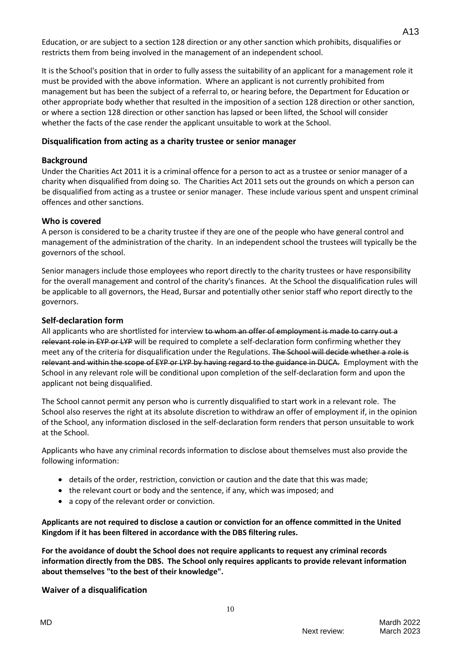Education, or are subject to a section 128 direction or any other sanction which prohibits, disqualifies or restricts them from being involved in the management of an independent school.

It is the School's position that in order to fully assess the suitability of an applicant for a management role it must be provided with the above information. Where an applicant is not currently prohibited from management but has been the subject of a referral to, or hearing before, the Department for Education or other appropriate body whether that resulted in the imposition of a section 128 direction or other sanction, or where a section 128 direction or other sanction has lapsed or been lifted, the School will consider whether the facts of the case render the applicant unsuitable to work at the School.

### **Disqualification from acting as a charity trustee or senior manager**

### **Background**

Under the Charities Act 2011 it is a criminal offence for a person to act as a trustee or senior manager of a charity when disqualified from doing so. The Charities Act 2011 sets out the grounds on which a person can be disqualified from acting as a trustee or senior manager. These include various spent and unspent criminal offences and other sanctions.

#### **Who is covered**

A person is considered to be a charity trustee if they are one of the people who have general control and management of the administration of the charity. In an independent school the trustees will typically be the governors of the school.

Senior managers include those employees who report directly to the charity trustees or have responsibility for the overall management and control of the charity's finances. At the School the disqualification rules will be applicable to all governors, the Head, Bursar and potentially other senior staff who report directly to the governors.

### **Self-declaration form**

All applicants who are shortlisted for interview to whom an offer of employment is made to carry out a relevant role in EYP or LYP will be required to complete a self-declaration form confirming whether they meet any of the criteria for disqualification under the Regulations. The School will decide whether a role is relevant and within the scope of EYP or LYP by having regard to the guidance in DUCA. Employment with the School in any relevant role will be conditional upon completion of the self-declaration form and upon the applicant not being disqualified.

The School cannot permit any person who is currently disqualified to start work in a relevant role. The School also reserves the right at its absolute discretion to withdraw an offer of employment if, in the opinion of the School, any information disclosed in the self-declaration form renders that person unsuitable to work at the School.

Applicants who have any criminal records information to disclose about themselves must also provide the following information:

- details of the order, restriction, conviction or caution and the date that this was made;
- the relevant court or body and the sentence, if any, which was imposed; and
- a copy of the relevant order or conviction.

**Applicants are not required to disclose a caution or conviction for an offence committed in the United Kingdom if it has been filtered in accordance with the DBS filtering rules.**

**For the avoidance of doubt the School does not require applicants to request any criminal records information directly from the DBS. The School only requires applicants to provide relevant information about themselves "to the best of their knowledge".**

10

**Waiver of a disqualification**

A13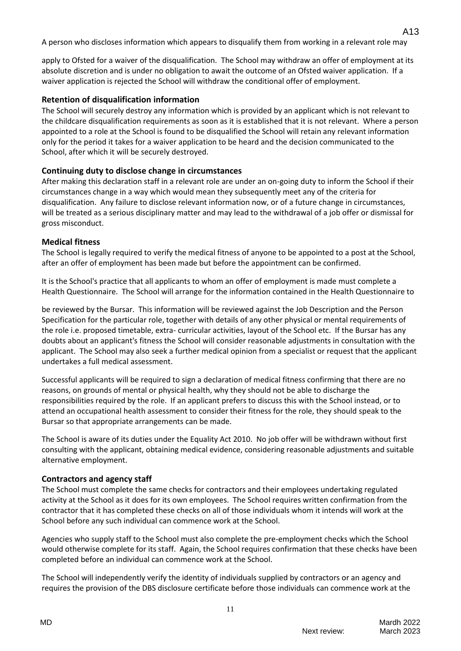A person who discloses information which appears to disqualify them from working in a relevant role may

apply to Ofsted for a waiver of the disqualification. The School may withdraw an offer of employment at its absolute discretion and is under no obligation to await the outcome of an Ofsted waiver application. If a waiver application is rejected the School will withdraw the conditional offer of employment.

### **Retention of disqualification information**

The School will securely destroy any information which is provided by an applicant which is not relevant to the childcare disqualification requirements as soon as it is established that it is not relevant. Where a person appointed to a role at the School is found to be disqualified the School will retain any relevant information only for the period it takes for a waiver application to be heard and the decision communicated to the School, after which it will be securely destroyed.

### **Continuing duty to disclose change in circumstances**

After making this declaration staff in a relevant role are under an on-going duty to inform the School if their circumstances change in a way which would mean they subsequently meet any of the criteria for disqualification. Any failure to disclose relevant information now, or of a future change in circumstances, will be treated as a serious disciplinary matter and may lead to the withdrawal of a job offer or dismissal for gross misconduct.

### **Medical fitness**

The School is legally required to verify the medical fitness of anyone to be appointed to a post at the School, after an offer of employment has been made but before the appointment can be confirmed.

It is the School's practice that all applicants to whom an offer of employment is made must complete a Health Questionnaire. The School will arrange for the information contained in the Health Questionnaire to

be reviewed by the Bursar. This information will be reviewed against the Job Description and the Person Specification for the particular role, together with details of any other physical or mental requirements of the role i.e. proposed timetable, extra- curricular activities, layout of the School etc. If the Bursar has any doubts about an applicant's fitness the School will consider reasonable adjustments in consultation with the applicant. The School may also seek a further medical opinion from a specialist or request that the applicant undertakes a full medical assessment.

Successful applicants will be required to sign a declaration of medical fitness confirming that there are no reasons, on grounds of mental or physical health, why they should not be able to discharge the responsibilities required by the role. If an applicant prefers to discuss this with the School instead, or to attend an occupational health assessment to consider their fitness for the role, they should speak to the Bursar so that appropriate arrangements can be made.

The School is aware of its duties under the Equality Act 2010. No job offer will be withdrawn without first consulting with the applicant, obtaining medical evidence, considering reasonable adjustments and suitable alternative employment.

### **Contractors and agency staff**

The School must complete the same checks for contractors and their employees undertaking regulated activity at the School as it does for its own employees. The School requires written confirmation from the contractor that it has completed these checks on all of those individuals whom it intends will work at the School before any such individual can commence work at the School.

Agencies who supply staff to the School must also complete the pre-employment checks which the School would otherwise complete for its staff. Again, the School requires confirmation that these checks have been completed before an individual can commence work at the School.

The School will independently verify the identity of individuals supplied by contractors or an agency and requires the provision of the DBS disclosure certificate before those individuals can commence work at the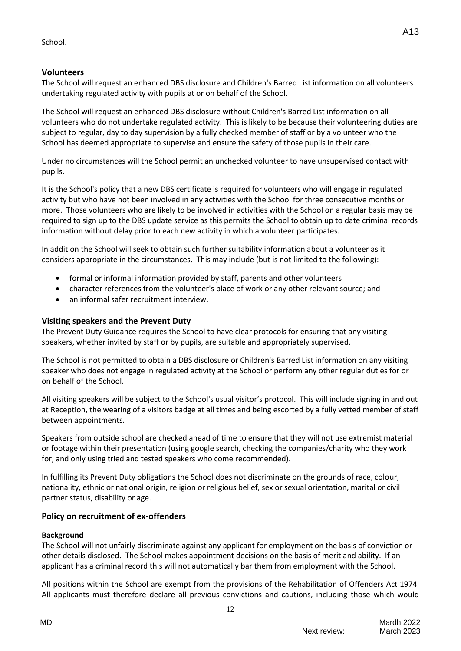### **Volunteers**

The School will request an enhanced DBS disclosure and Children's Barred List information on all volunteers undertaking regulated activity with pupils at or on behalf of the School.

The School will request an enhanced DBS disclosure without Children's Barred List information on all volunteers who do not undertake regulated activity. This is likely to be because their volunteering duties are subject to regular, day to day supervision by a fully checked member of staff or by a volunteer who the School has deemed appropriate to supervise and ensure the safety of those pupils in their care.

Under no circumstances will the School permit an unchecked volunteer to have unsupervised contact with pupils.

It is the School's policy that a new DBS certificate is required for volunteers who will engage in regulated activity but who have not been involved in any activities with the School for three consecutive months or more. Those volunteers who are likely to be involved in activities with the School on a regular basis may be required to sign up to the DBS update service as this permits the School to obtain up to date criminal records information without delay prior to each new activity in which a volunteer participates.

In addition the School will seek to obtain such further suitability information about a volunteer as it considers appropriate in the circumstances. This may include (but is not limited to the following):

- formal or informal information provided by staff, parents and other volunteers
- character references from the volunteer's place of work or any other relevant source; and
- an informal safer recruitment interview.

### **Visiting speakers and the Prevent Duty**

The Prevent Duty Guidance requires the School to have clear protocols for ensuring that any visiting speakers, whether invited by staff or by pupils, are suitable and appropriately supervised.

The School is not permitted to obtain a DBS disclosure or Children's Barred List information on any visiting speaker who does not engage in regulated activity at the School or perform any other regular duties for or on behalf of the School.

All visiting speakers will be subject to the School's usual visitor's protocol. This will include signing in and out at Reception, the wearing of a visitors badge at all times and being escorted by a fully vetted member of staff between appointments.

Speakers from outside school are checked ahead of time to ensure that they will not use extremist material or footage within their presentation (using google search, checking the companies/charity who they work for, and only using tried and tested speakers who come recommended).

In fulfilling its Prevent Duty obligations the School does not discriminate on the grounds of race, colour, nationality, ethnic or national origin, religion or religious belief, sex or sexual orientation, marital or civil partner status, disability or age.

### **Policy on recruitment of ex-offenders**

#### **Background**

The School will not unfairly discriminate against any applicant for employment on the basis of conviction or other details disclosed. The School makes appointment decisions on the basis of merit and ability. If an applicant has a criminal record this will not automatically bar them from employment with the School.

All positions within the School are exempt from the provisions of the Rehabilitation of Offenders Act 1974. All applicants must therefore declare all previous convictions and cautions, including those which would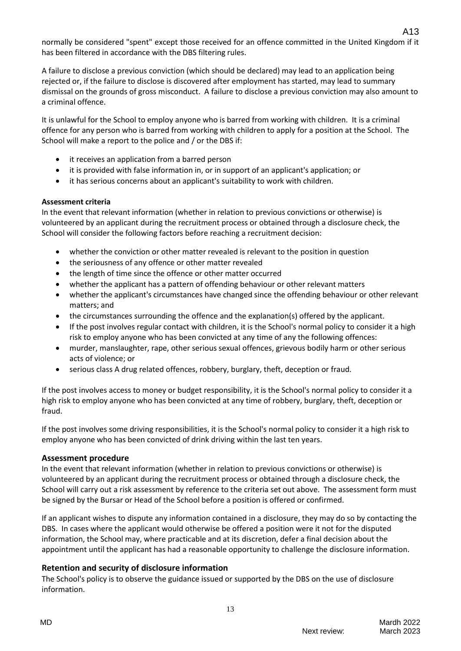normally be considered "spent" except those received for an offence committed in the United Kingdom if it has been filtered in accordance with the DBS filtering rules.

A failure to disclose a previous conviction (which should be declared) may lead to an application being rejected or, if the failure to disclose is discovered after employment has started, may lead to summary dismissal on the grounds of gross misconduct. A failure to disclose a previous conviction may also amount to a criminal offence.

It is unlawful for the School to employ anyone who is barred from working with children. It is a criminal offence for any person who is barred from working with children to apply for a position at the School. The School will make a report to the police and / or the DBS if:

- it receives an application from a barred person
- it is provided with false information in, or in support of an applicant's application; or
- it has serious concerns about an applicant's suitability to work with children.

#### **Assessment criteria**

In the event that relevant information (whether in relation to previous convictions or otherwise) is volunteered by an applicant during the recruitment process or obtained through a disclosure check, the School will consider the following factors before reaching a recruitment decision:

- whether the conviction or other matter revealed is relevant to the position in question
- the seriousness of any offence or other matter revealed
- the length of time since the offence or other matter occurred
- whether the applicant has a pattern of offending behaviour or other relevant matters
- whether the applicant's circumstances have changed since the offending behaviour or other relevant matters; and
- the circumstances surrounding the offence and the explanation(s) offered by the applicant.
- If the post involves regular contact with children, it is the School's normal policy to consider it a high risk to employ anyone who has been convicted at any time of any the following offences:
- murder, manslaughter, rape, other serious sexual offences, grievous bodily harm or other serious acts of violence; or
- serious class A drug related offences, robbery, burglary, theft, deception or fraud.

If the post involves access to money or budget responsibility, it is the School's normal policy to consider it a high risk to employ anyone who has been convicted at any time of robbery, burglary, theft, deception or fraud.

If the post involves some driving responsibilities, it is the School's normal policy to consider it a high risk to employ anyone who has been convicted of drink driving within the last ten years.

#### **Assessment procedure**

In the event that relevant information (whether in relation to previous convictions or otherwise) is volunteered by an applicant during the recruitment process or obtained through a disclosure check, the School will carry out a risk assessment by reference to the criteria set out above. The assessment form must be signed by the Bursar or Head of the School before a position is offered or confirmed.

If an applicant wishes to dispute any information contained in a disclosure, they may do so by contacting the DBS. In cases where the applicant would otherwise be offered a position were it not for the disputed information, the School may, where practicable and at its discretion, defer a final decision about the appointment until the applicant has had a reasonable opportunity to challenge the disclosure information.

### **Retention and security of disclosure information**

The School's policy is to observe the guidance issued or supported by the DBS on the use of disclosure information.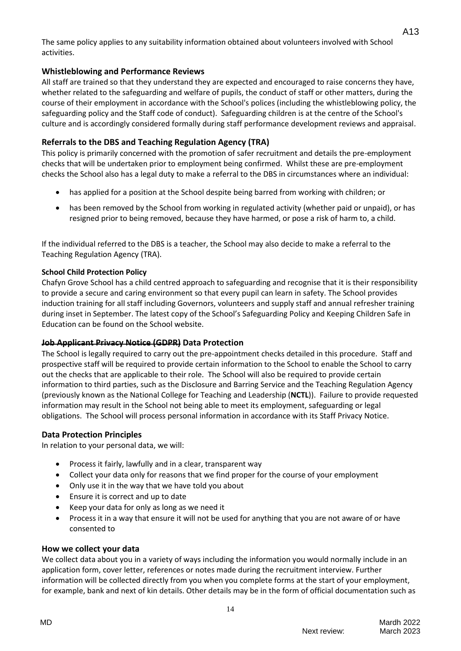activities.

The same policy applies to any suitability information obtained about volunteers involved with School

### **Whistleblowing and Performance Reviews**

All staff are trained so that they understand they are expected and encouraged to raise concerns they have, whether related to the safeguarding and welfare of pupils, the conduct of staff or other matters, during the course of their employment in accordance with the School's polices (including the whistleblowing policy, the safeguarding policy and the Staff code of conduct). Safeguarding children is at the centre of the School's culture and is accordingly considered formally during staff performance development reviews and appraisal.

### **Referrals to the DBS and Teaching Regulation Agency (TRA)**

This policy is primarily concerned with the promotion of safer recruitment and details the pre-employment checks that will be undertaken prior to employment being confirmed. Whilst these are pre-employment checks the School also has a legal duty to make a referral to the DBS in circumstances where an individual:

- has applied for a position at the School despite being barred from working with children; or
- has been removed by the School from working in regulated activity (whether paid or unpaid), or has resigned prior to being removed, because they have harmed, or pose a risk of harm to, a child.

If the individual referred to the DBS is a teacher, the School may also decide to make a referral to the Teaching Regulation Agency (TRA).

### **School Child Protection Policy**

Chafyn Grove School has a child centred approach to safeguarding and recognise that it is their responsibility to provide a secure and caring environment so that every pupil can learn in safety. The School provides induction training for all staff including Governors, volunteers and supply staff and annual refresher training during inset in September. The latest copy of the School's Safeguarding Policy and Keeping Children Safe in Education can be found on the School website.

### **Job Applicant Privacy Notice (GDPR) Data Protection**

The School is legally required to carry out the pre-appointment checks detailed in this procedure. Staff and prospective staff will be required to provide certain information to the School to enable the School to carry out the checks that are applicable to their role. The School will also be required to provide certain information to third parties, such as the Disclosure and Barring Service and the Teaching Regulation Agency (previously known as the National College for Teaching and Leadership (**NCTL**)). Failure to provide requested information may result in the School not being able to meet its employment, safeguarding or legal obligations. The School will process personal information in accordance with its Staff Privacy Notice.

### **Data Protection Principles**

In relation to your personal data, we will:

- Process it fairly, lawfully and in a clear, transparent way
- Collect your data only for reasons that we find proper for the course of your employment
- Only use it in the way that we have told you about
- Ensure it is correct and up to date
- Keep your data for only as long as we need it
- Process it in a way that ensure it will not be used for anything that you are not aware of or have consented to

### **How we collect your data**

We collect data about you in a variety of ways including the information you would normally include in an application form, cover letter, references or notes made during the recruitment interview. Further information will be collected directly from you when you complete forms at the start of your employment, for example, bank and next of kin details. Other details may be in the form of official documentation such as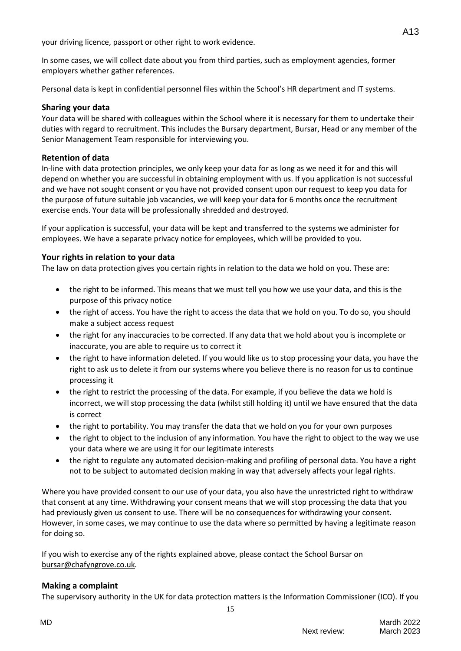your driving licence, passport or other right to work evidence.

In some cases, we will collect date about you from third parties, such as employment agencies, former employers whether gather references.

Personal data is kept in confidential personnel files within the School's HR department and IT systems.

#### **Sharing your data**

Your data will be shared with colleagues within the School where it is necessary for them to undertake their duties with regard to recruitment. This includes the Bursary department, Bursar, Head or any member of the Senior Management Team responsible for interviewing you.

### **Retention of data**

In-line with data protection principles, we only keep your data for as long as we need it for and this will depend on whether you are successful in obtaining employment with us. If you application is not successful and we have not sought consent or you have not provided consent upon our request to keep you data for the purpose of future suitable job vacancies, we will keep your data for 6 months once the recruitment exercise ends. Your data will be professionally shredded and destroyed.

If your application is successful, your data will be kept and transferred to the systems we administer for employees. We have a separate privacy notice for employees, which will be provided to you.

### **Your rights in relation to your data**

The law on data protection gives you certain rights in relation to the data we hold on you. These are:

- the right to be informed. This means that we must tell you how we use your data, and this is the purpose of this privacy notice
- the right of access. You have the right to access the data that we hold on you. To do so, you should make a subject access request
- the right for any inaccuracies to be corrected. If any data that we hold about you is incomplete or inaccurate, you are able to require us to correct it
- the right to have information deleted. If you would like us to stop processing your data, you have the right to ask us to delete it from our systems where you believe there is no reason for us to continue processing it
- the right to restrict the processing of the data. For example, if you believe the data we hold is incorrect, we will stop processing the data (whilst still holding it) until we have ensured that the data is correct
- the right to portability. You may transfer the data that we hold on you for your own purposes
- the right to object to the inclusion of any information. You have the right to object to the way we use your data where we are using it for our legitimate interests
- the right to regulate any automated decision-making and profiling of personal data. You have a right not to be subject to automated decision making in way that adversely affects your legal rights.

Where you have provided consent to our use of your data, you also have the unrestricted right to withdraw that consent at any time. Withdrawing your consent means that we will stop processing the data that you had previously given us consent to use. There will be no consequences for withdrawing your consent. However, in some cases, we may continue to use the data where so permitted by having a legitimate reason for doing so.

If you wish to exercise any of the rights explained above, please contact the School Bursar on [bursar@chafyngrove.co.uk](mailto:bursar@chafyngrove.co.uk)*.*

### **Making a complaint**

The supervisory authority in the UK for data protection matters is the Information Commissioner (ICO). If you

A13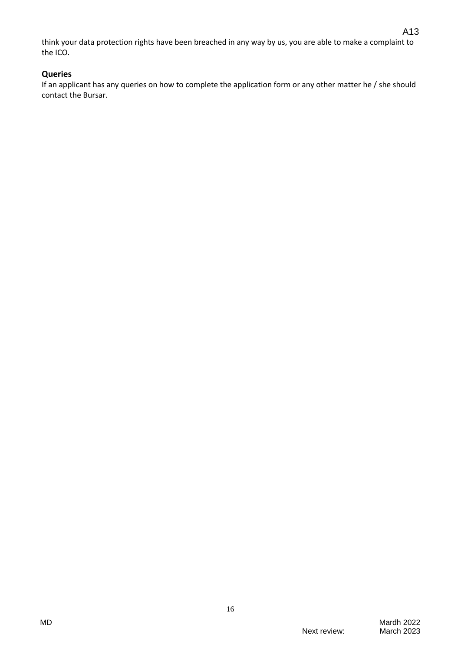think your data protection rights have been breached in any way by us, you are able to make a complaint to the ICO.

### **Queries**

If an applicant has any queries on how to complete the application form or any other matter he / she should contact the Bursar.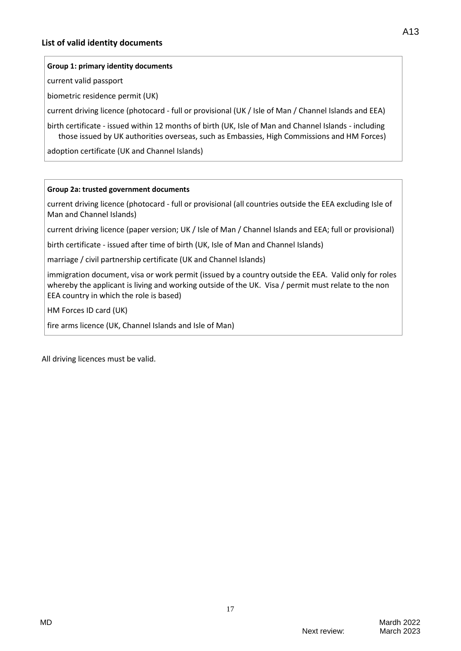#### **Group 1: primary identity documents**

current valid passport

biometric residence permit (UK)

current driving licence (photocard - full or provisional (UK / Isle of Man / Channel Islands and EEA)

birth certificate - issued within 12 months of birth (UK, Isle of Man and Channel Islands - including those issued by UK authorities overseas, such as Embassies, High Commissions and HM Forces)

adoption certificate (UK and Channel Islands)

#### **Group 2a: trusted government documents**

current driving licence (photocard - full or provisional (all countries outside the EEA excluding Isle of Man and Channel Islands)

current driving licence (paper version; UK / Isle of Man / Channel Islands and EEA; full or provisional)

birth certificate - issued after time of birth (UK, Isle of Man and Channel Islands)

marriage / civil partnership certificate (UK and Channel Islands)

immigration document, visa or work permit (issued by a country outside the EEA. Valid only for roles whereby the applicant is living and working outside of the UK. Visa / permit must relate to the non EEA country in which the role is based)

17

HM Forces ID card (UK)

fire arms licence (UK, Channel Islands and Isle of Man)

All driving licences must be valid.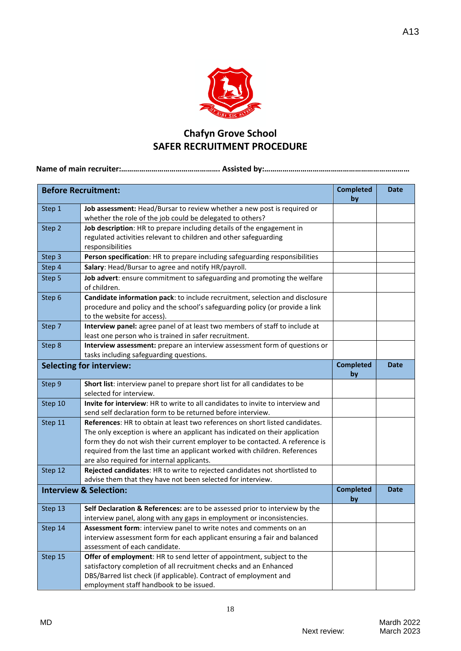

## **Chafyn Grove School SAFER RECRUITMENT PROCEDURE**

|         | <b>Before Recruitment:</b>                                                          | <b>Completed</b><br>by | <b>Date</b> |
|---------|-------------------------------------------------------------------------------------|------------------------|-------------|
| Step 1  | Job assessment: Head/Bursar to review whether a new post is required or             |                        |             |
|         | whether the role of the job could be delegated to others?                           |                        |             |
| Step 2  | Job description: HR to prepare including details of the engagement in               |                        |             |
|         | regulated activities relevant to children and other safeguarding                    |                        |             |
|         | responsibilities                                                                    |                        |             |
| Step 3  | Person specification: HR to prepare including safeguarding responsibilities         |                        |             |
| Step 4  | Salary: Head/Bursar to agree and notify HR/payroll.                                 |                        |             |
| Step 5  | Job advert: ensure commitment to safeguarding and promoting the welfare             |                        |             |
|         | of children.                                                                        |                        |             |
| Step 6  | Candidate information pack: to include recruitment, selection and disclosure        |                        |             |
|         | procedure and policy and the school's safeguarding policy (or provide a link        |                        |             |
|         | to the website for access).                                                         |                        |             |
| Step 7  | Interview panel: agree panel of at least two members of staff to include at         |                        |             |
|         | least one person who is trained in safer recruitment.                               |                        |             |
| Step 8  | Interview assessment: prepare an interview assessment form of questions or          |                        |             |
|         | tasks including safeguarding questions.                                             |                        |             |
|         | <b>Selecting for interview:</b>                                                     | <b>Completed</b><br>by | <b>Date</b> |
| Step 9  | Short list: interview panel to prepare short list for all candidates to be          |                        |             |
|         | selected for interview.                                                             |                        |             |
| Step 10 | Invite for interview: HR to write to all candidates to invite to interview and      |                        |             |
|         | send self declaration form to be returned before interview.                         |                        |             |
| Step 11 | <b>References:</b> HR to obtain at least two references on short listed candidates. |                        |             |
|         | The only exception is where an applicant has indicated on their application         |                        |             |
|         | form they do not wish their current employer to be contacted. A reference is        |                        |             |
|         | required from the last time an applicant worked with children. References           |                        |             |
|         | are also required for internal applicants.                                          |                        |             |
| Step 12 | Rejected candidates: HR to write to rejected candidates not shortlisted to          |                        |             |
|         | advise them that they have not been selected for interview.                         |                        |             |
|         | <b>Interview &amp; Selection:</b>                                                   | <b>Completed</b><br>by | <b>Date</b> |
| Step 13 | Self Declaration & References: are to be assessed prior to interview by the         |                        |             |
|         | interview panel, along with any gaps in employment or inconsistencies.              |                        |             |
| Step 14 | Assessment form: interview panel to write notes and comments on an                  |                        |             |
|         | interview assessment form for each applicant ensuring a fair and balanced           |                        |             |
|         | assessment of each candidate.                                                       |                        |             |
| Step 15 | Offer of employment: HR to send letter of appointment, subject to the               |                        |             |
|         | satisfactory completion of all recruitment checks and an Enhanced                   |                        |             |
|         | DBS/Barred list check (if applicable). Contract of employment and                   |                        |             |
|         | employment staff handbook to be issued.                                             |                        |             |